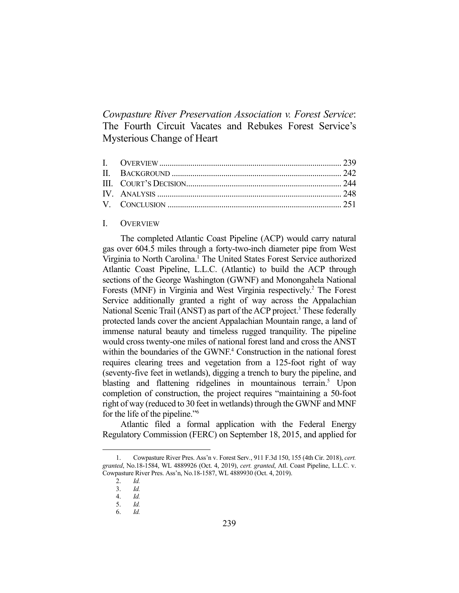*Cowpasture River Preservation Association v. Forest Service*: The Fourth Circuit Vacates and Rebukes Forest Service's Mysterious Change of Heart

### I. OVERVIEW

 The completed Atlantic Coast Pipeline (ACP) would carry natural gas over 604.5 miles through a forty-two-inch diameter pipe from West Virginia to North Carolina.<sup>1</sup> The United States Forest Service authorized Atlantic Coast Pipeline, L.L.C. (Atlantic) to build the ACP through sections of the George Washington (GWNF) and Monongahela National Forests (MNF) in Virginia and West Virginia respectively.<sup>2</sup> The Forest Service additionally granted a right of way across the Appalachian National Scenic Trail (ANST) as part of the ACP project.<sup>3</sup> These federally protected lands cover the ancient Appalachian Mountain range, a land of immense natural beauty and timeless rugged tranquility. The pipeline would cross twenty-one miles of national forest land and cross the ANST within the boundaries of the GWNF.<sup>4</sup> Construction in the national forest requires clearing trees and vegetation from a 125-foot right of way (seventy-five feet in wetlands), digging a trench to bury the pipeline, and blasting and flattening ridgelines in mountainous terrain.<sup>5</sup> Upon completion of construction, the project requires "maintaining a 50-foot right of way (reduced to 30 feet in wetlands) through the GWNF and MNF for the life of the pipeline."6

 Atlantic filed a formal application with the Federal Energy Regulatory Commission (FERC) on September 18, 2015, and applied for

 <sup>1.</sup> Cowpasture River Pres. Ass'n v. Forest Serv*.*, 911 F.3d 150, 155 (4th Cir. 2018), *cert. granted*, No.18-1584, WL 4889926 (Oct. 4, 2019), *cert. granted*, Atl. Coast Pipeline, L.L.C. v. Cowpasture River Pres. Ass'n, No.18-1587, WL 4889930 (Oct. 4, 2019).

 <sup>2.</sup> *Id.*

 <sup>3.</sup> *Id.*

 <sup>4.</sup> *Id.* 

 <sup>5.</sup> *Id.*

 <sup>6.</sup> *Id.*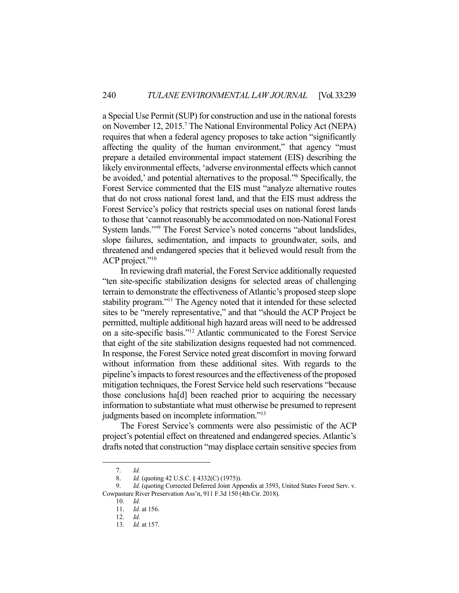a Special Use Permit (SUP) for construction and use in the national forests on November 12, 2015.<sup>7</sup> The National Environmental Policy Act (NEPA) requires that when a federal agency proposes to take action "significantly affecting the quality of the human environment," that agency "must prepare a detailed environmental impact statement (EIS) describing the likely environmental effects, 'adverse environmental effects which cannot be avoided,' and potential alternatives to the proposal."<sup>8</sup> Specifically, the Forest Service commented that the EIS must "analyze alternative routes that do not cross national forest land, and that the EIS must address the Forest Service's policy that restricts special uses on national forest lands to those that 'cannot reasonably be accommodated on non-National Forest System lands.'"9 The Forest Service's noted concerns "about landslides, slope failures, sedimentation, and impacts to groundwater, soils, and threatened and endangered species that it believed would result from the ACP project."<sup>10</sup>

 In reviewing draft material, the Forest Service additionally requested "ten site-specific stabilization designs for selected areas of challenging terrain to demonstrate the effectiveness of Atlantic's proposed steep slope stability program."11 The Agency noted that it intended for these selected sites to be "merely representative," and that "should the ACP Project be permitted, multiple additional high hazard areas will need to be addressed on a site-specific basis."12 Atlantic communicated to the Forest Service that eight of the site stabilization designs requested had not commenced. In response, the Forest Service noted great discomfort in moving forward without information from these additional sites. With regards to the pipeline's impacts to forest resources and the effectiveness of the proposed mitigation techniques, the Forest Service held such reservations "because those conclusions ha[d] been reached prior to acquiring the necessary information to substantiate what must otherwise be presumed to represent judgments based on incomplete information."13

 The Forest Service's comments were also pessimistic of the ACP project's potential effect on threatened and endangered species. Atlantic's drafts noted that construction "may displace certain sensitive species from

 <sup>7.</sup> *Id.*

 <sup>8.</sup> *Id.* (quoting 42 U.S.C. § 4332(C) (1975)).

Id. (quoting Corrected Deferred Joint Appendix at 3593, United States Forest Serv. v. Cowpasture River Preservation Ass'n, 911 F.3d 150 (4th Cir. 2018).

 <sup>10.</sup> *Id.*

 <sup>11.</sup> *Id.* at 156.

 <sup>12.</sup> *Id.*

 <sup>13.</sup> *Id.* at 157.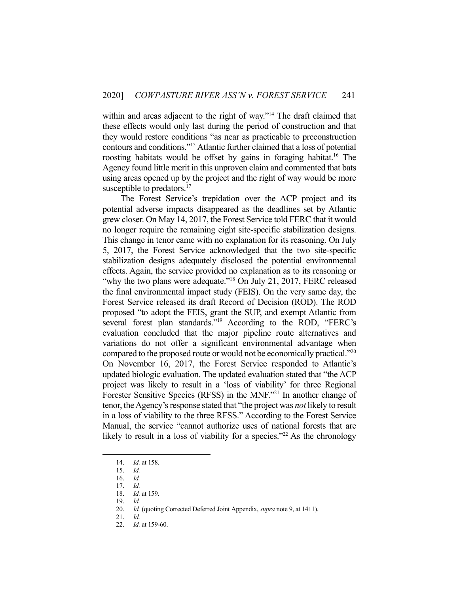within and areas adjacent to the right of way."<sup>14</sup> The draft claimed that these effects would only last during the period of construction and that they would restore conditions "as near as practicable to preconstruction contours and conditions."15 Atlantic further claimed that a loss of potential roosting habitats would be offset by gains in foraging habitat.<sup>16</sup> The Agency found little merit in this unproven claim and commented that bats using areas opened up by the project and the right of way would be more susceptible to predators.<sup>17</sup>

 The Forest Service's trepidation over the ACP project and its potential adverse impacts disappeared as the deadlines set by Atlantic grew closer. On May 14, 2017, the Forest Service told FERC that it would no longer require the remaining eight site-specific stabilization designs. This change in tenor came with no explanation for its reasoning. On July 5, 2017, the Forest Service acknowledged that the two site-specific stabilization designs adequately disclosed the potential environmental effects. Again, the service provided no explanation as to its reasoning or "why the two plans were adequate."<sup>18</sup> On July 21, 2017, FERC released the final environmental impact study (FEIS). On the very same day, the Forest Service released its draft Record of Decision (ROD). The ROD proposed "to adopt the FEIS, grant the SUP, and exempt Atlantic from several forest plan standards."<sup>19</sup> According to the ROD, "FERC's evaluation concluded that the major pipeline route alternatives and variations do not offer a significant environmental advantage when compared to the proposed route or would not be economically practical."20 On November 16, 2017, the Forest Service responded to Atlantic's updated biologic evaluation. The updated evaluation stated that "the ACP project was likely to result in a 'loss of viability' for three Regional Forester Sensitive Species (RFSS) in the MNF."21 In another change of tenor, the Agency's response stated that "the project was *not* likely to result in a loss of viability to the three RFSS." According to the Forest Service Manual, the service "cannot authorize uses of national forests that are likely to result in a loss of viability for a species." $^{22}$  As the chronology

 <sup>14.</sup> *Id.* at 158.

 <sup>15.</sup> *Id.*

 <sup>16.</sup> *Id.*

 <sup>17.</sup> *Id.*

 <sup>18.</sup> *Id.* at 159.

 <sup>19.</sup> *Id.*

 <sup>20.</sup> *Id.* (quoting Corrected Deferred Joint Appendix, *supra* note 9, at 1411).

 <sup>21.</sup> *Id.*

 <sup>22.</sup> *Id.* at 159-60.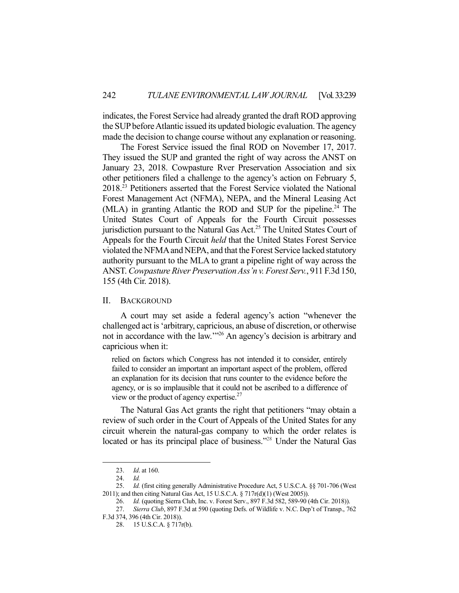indicates, the Forest Service had already granted the draft ROD approving the SUP before Atlantic issued its updated biologic evaluation. The agency made the decision to change course without any explanation or reasoning.

 The Forest Service issued the final ROD on November 17, 2017. They issued the SUP and granted the right of way across the ANST on January 23, 2018. Cowpasture Rver Preservation Association and six other petitioners filed a challenge to the agency's action on February 5, 2018.23 Petitioners asserted that the Forest Service violated the National Forest Management Act (NFMA), NEPA, and the Mineral Leasing Act (MLA) in granting Atlantic the ROD and SUP for the pipeline.<sup>24</sup> The United States Court of Appeals for the Fourth Circuit possesses jurisdiction pursuant to the Natural Gas Act.<sup>25</sup> The United States Court of Appeals for the Fourth Circuit *held* that the United States Forest Service violated the NFMA and NEPA, and that the Forest Service lacked statutory authority pursuant to the MLA to grant a pipeline right of way across the ANST. *Cowpasture River Preservation Ass'n v. Forest Serv.*, 911 F.3d 150, 155 (4th Cir. 2018).

### II. BACKGROUND

 A court may set aside a federal agency's action "whenever the challenged act is 'arbitrary, capricious, an abuse of discretion, or otherwise not in accordance with the law.'"26 An agency's decision is arbitrary and capricious when it:

relied on factors which Congress has not intended it to consider, entirely failed to consider an important an important aspect of the problem, offered an explanation for its decision that runs counter to the evidence before the agency, or is so implausible that it could not be ascribed to a difference of view or the product of agency expertise.<sup>27</sup>

 The Natural Gas Act grants the right that petitioners "may obtain a review of such order in the Court of Appeals of the United States for any circuit wherein the natural-gas company to which the order relates is located or has its principal place of business."<sup>28</sup> Under the Natural Gas

 <sup>23.</sup> *Id*. at 160.

 <sup>24.</sup> *Id.*

 <sup>25.</sup> *Id.* (first citing generally Administrative Procedure Act, 5 U.S.C.A. §§ 701-706 (West 2011); and then citing Natural Gas Act, 15 U.S.C.A. § 717r(d)(1) (West 2005)).

 <sup>26.</sup> *Id.* (quoting Sierra Club, Inc. v. Forest Serv., 897 F.3d 582, 589-90 (4th Cir. 2018)).

 <sup>27.</sup> *Sierra Club*, 897 F.3d at 590 (quoting Defs. of Wildlife v. N.C. Dep't of Transp., 762 F.3d 374, 396 (4th Cir. 2018)).

 <sup>28. 15</sup> U.S.C.A. § 717r(b).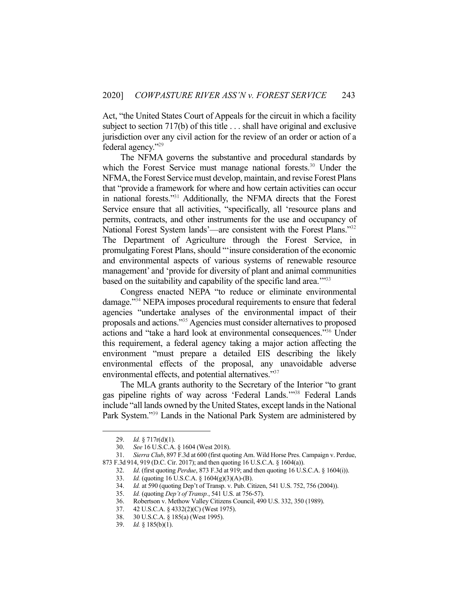Act, "the United States Court of Appeals for the circuit in which a facility subject to section 717(b) of this title . . . shall have original and exclusive jurisdiction over any civil action for the review of an order or action of a federal agency."29

 The NFMA governs the substantive and procedural standards by which the Forest Service must manage national forests.<sup>30</sup> Under the NFMA, the Forest Service must develop, maintain, and revise Forest Plans that "provide a framework for where and how certain activities can occur in national forests."31 Additionally, the NFMA directs that the Forest Service ensure that all activities, "specifically, all 'resource plans and permits, contracts, and other instruments for the use and occupancy of National Forest System lands'—are consistent with the Forest Plans."<sup>32</sup> The Department of Agriculture through the Forest Service, in promulgating Forest Plans, should "'insure consideration of the economic and environmental aspects of various systems of renewable resource management' and 'provide for diversity of plant and animal communities based on the suitability and capability of the specific land area.<sup>"33</sup>

 Congress enacted NEPA "to reduce or eliminate environmental damage."34 NEPA imposes procedural requirements to ensure that federal agencies "undertake analyses of the environmental impact of their proposals and actions."35 Agencies must consider alternatives to proposed actions and "take a hard look at environmental consequences."36 Under this requirement, a federal agency taking a major action affecting the environment "must prepare a detailed EIS describing the likely environmental effects of the proposal, any unavoidable adverse environmental effects, and potential alternatives."<sup>37</sup>

 The MLA grants authority to the Secretary of the Interior "to grant gas pipeline rights of way across 'Federal Lands.'"38 Federal Lands include "all lands owned by the United States, except lands in the National Park System."39 Lands in the National Park System are administered by

 <sup>29.</sup> *Id.* § 717r(d)(1).

 <sup>30.</sup> *See* 16 U.S.C.A. § 1604 (West 2018).

 <sup>31.</sup> *Sierra Club*, 897 F.3d at 600 (first quoting Am. Wild Horse Pres. Campaign v. Perdue, 873 F.3d 914, 919 (D.C. Cir. 2017); and then quoting 16 U.S.C.A. § 1604(a)).

 <sup>32.</sup> *Id*. (first quoting *Perdue*, 873 F.3d at 919; and then quoting 16 U.S.C.A. § 1604(i)).

 <sup>33.</sup> *Id.* (quoting 16 U.S.C.A. § 1604(g)(3)(A)-(B).

 <sup>34.</sup> *Id.* at 590 (quoting Dep't of Transp. v. Pub. Citizen, 541 U.S. 752, 756 (2004)).

 <sup>35.</sup> *Id.* (quoting *Dep't of Transp.*, 541 U.S. at 756-57).

 <sup>36.</sup> Robertson v. Methow Valley Citizens Council, 490 U.S. 332, 350 (1989).

 <sup>37. 42</sup> U.S.C.A. § 4332(2)(C) (West 1975).

 <sup>38. 30</sup> U.S.C.A. § 185(a) (West 1995).

 <sup>39.</sup> *Id.* § 185(b)(1).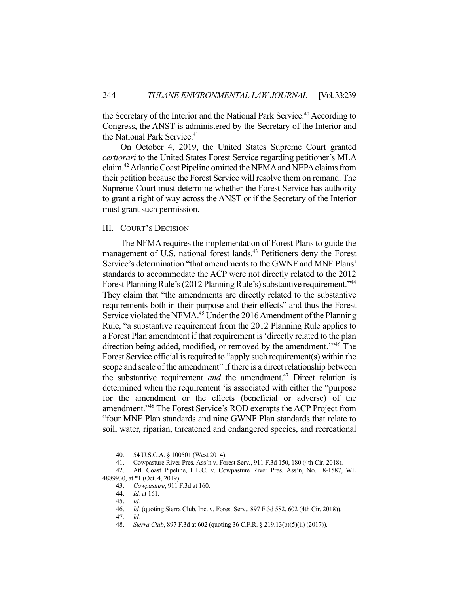the Secretary of the Interior and the National Park Service.<sup>40</sup> According to Congress, the ANST is administered by the Secretary of the Interior and the National Park Service.<sup>41</sup>

 On October 4, 2019, the United States Supreme Court granted *certiorari* to the United States Forest Service regarding petitioner's MLA claim.42 Atlantic Coast Pipeline omitted the NFMA and NEPA claims from their petition because the Forest Service will resolve them on remand. The Supreme Court must determine whether the Forest Service has authority to grant a right of way across the ANST or if the Secretary of the Interior must grant such permission.

# III. COURT'S DECISION

 The NFMA requires the implementation of Forest Plans to guide the management of U.S. national forest lands.<sup>43</sup> Petitioners deny the Forest Service's determination "that amendments to the GWNF and MNF Plans' standards to accommodate the ACP were not directly related to the 2012 Forest Planning Rule's (2012 Planning Rule's) substantive requirement."44 They claim that "the amendments are directly related to the substantive requirements both in their purpose and their effects" and thus the Forest Service violated the NFMA.<sup>45</sup> Under the 2016 Amendment of the Planning Rule, "a substantive requirement from the 2012 Planning Rule applies to a Forest Plan amendment if that requirement is 'directly related to the plan direction being added, modified, or removed by the amendment.'"46 The Forest Service official is required to "apply such requirement(s) within the scope and scale of the amendment" if there is a direct relationship between the substantive requirement *and* the amendment.<sup>47</sup> Direct relation is determined when the requirement 'is associated with either the "purpose for the amendment or the effects (beneficial or adverse) of the amendment."48 The Forest Service's ROD exempts the ACP Project from "four MNF Plan standards and nine GWNF Plan standards that relate to soil, water, riparian, threatened and endangered species, and recreational

 <sup>40. 54</sup> U.S.C.A. § 100501 (West 2014).

 <sup>41.</sup> Cowpasture River Pres. Ass'n v. Forest Serv*.*, 911 F.3d 150, 180 (4th Cir. 2018).

 <sup>42.</sup> Atl. Coast Pipeline, L.L.C. v. Cowpasture River Pres. Ass'n, No. 18-1587, WL 4889930, at \*1 (Oct. 4, 2019).

 <sup>43.</sup> *Cowpasture*, 911 F.3d at 160.

 <sup>44.</sup> *Id.* at 161.

 <sup>45.</sup> *Id.*

 <sup>46.</sup> *Id.* (quoting Sierra Club, Inc. v. Forest Serv., 897 F.3d 582, 602 (4th Cir. 2018)).

 <sup>47.</sup> *Id.*

 <sup>48.</sup> *Sierra Club*, 897 F.3d at 602 (quoting 36 C.F.R. § 219.13(b)(5)(ii) (2017)).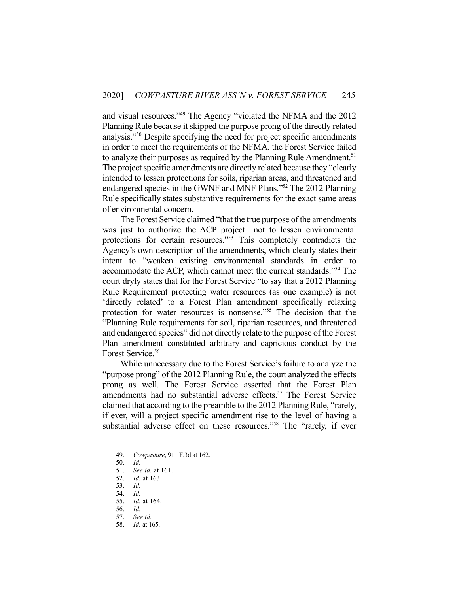and visual resources."49 The Agency "violated the NFMA and the 2012 Planning Rule because it skipped the purpose prong of the directly related analysis."50 Despite specifying the need for project specific amendments in order to meet the requirements of the NFMA, the Forest Service failed to analyze their purposes as required by the Planning Rule Amendment.<sup>51</sup> The project specific amendments are directly related because they "clearly intended to lessen protections for soils, riparian areas, and threatened and endangered species in the GWNF and MNF Plans."52 The 2012 Planning Rule specifically states substantive requirements for the exact same areas of environmental concern.

 The Forest Service claimed "that the true purpose of the amendments was just to authorize the ACP project—not to lessen environmental protections for certain resources."53 This completely contradicts the Agency's own description of the amendments, which clearly states their intent to "weaken existing environmental standards in order to accommodate the ACP, which cannot meet the current standards."54 The court dryly states that for the Forest Service "to say that a 2012 Planning Rule Requirement protecting water resources (as one example) is not 'directly related' to a Forest Plan amendment specifically relaxing protection for water resources is nonsense."55 The decision that the "Planning Rule requirements for soil, riparian resources, and threatened and endangered species" did not directly relate to the purpose of the Forest Plan amendment constituted arbitrary and capricious conduct by the Forest Service.<sup>56</sup>

 While unnecessary due to the Forest Service's failure to analyze the "purpose prong" of the 2012 Planning Rule, the court analyzed the effects prong as well. The Forest Service asserted that the Forest Plan amendments had no substantial adverse effects.<sup>57</sup> The Forest Service claimed that according to the preamble to the 2012 Planning Rule, "rarely, if ever, will a project specific amendment rise to the level of having a substantial adverse effect on these resources."<sup>58</sup> The "rarely, if ever

 <sup>49.</sup> *Cowpasture*, 911 F.3d at 162.

 <sup>50.</sup> *Id.*

 <sup>51.</sup> *See id.* at 161.

 <sup>52.</sup> *Id.* at 163.

 <sup>53.</sup> *Id.*

 <sup>54.</sup> *Id.*

 <sup>55.</sup> *Id.* at 164.

 <sup>56.</sup> *Id.*

 <sup>57.</sup> *See id.*

 <sup>58.</sup> *Id.* at 165.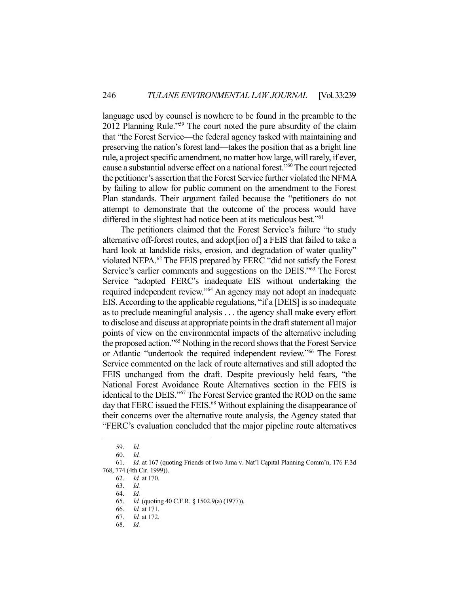language used by counsel is nowhere to be found in the preamble to the 2012 Planning Rule."59 The court noted the pure absurdity of the claim that "the Forest Service—the federal agency tasked with maintaining and preserving the nation's forest land—takes the position that as a bright line rule, a project specific amendment, no matter how large, will rarely, if ever, cause a substantial adverse effect on a national forest."60 The court rejected the petitioner's assertion that the Forest Service further violated the NFMA by failing to allow for public comment on the amendment to the Forest Plan standards. Their argument failed because the "petitioners do not attempt to demonstrate that the outcome of the process would have differed in the slightest had notice been at its meticulous best."<sup>61</sup>

 The petitioners claimed that the Forest Service's failure "to study alternative off-forest routes, and adopt[ion of] a FEIS that failed to take a hard look at landslide risks, erosion, and degradation of water quality" violated NEPA.62 The FEIS prepared by FERC "did not satisfy the Forest Service's earlier comments and suggestions on the DEIS."63 The Forest Service "adopted FERC's inadequate EIS without undertaking the required independent review."64 An agency may not adopt an inadequate EIS. According to the applicable regulations, "if a [DEIS] is so inadequate as to preclude meaningful analysis . . . the agency shall make every effort to disclose and discuss at appropriate points in the draft statement all major points of view on the environmental impacts of the alternative including the proposed action."65 Nothing in the record shows that the Forest Service or Atlantic "undertook the required independent review."66 The Forest Service commented on the lack of route alternatives and still adopted the FEIS unchanged from the draft. Despite previously held fears, "the National Forest Avoidance Route Alternatives section in the FEIS is identical to the DEIS."67 The Forest Service granted the ROD on the same day that FERC issued the FEIS.<sup>68</sup> Without explaining the disappearance of their concerns over the alternative route analysis, the Agency stated that "FERC's evaluation concluded that the major pipeline route alternatives

 <sup>59.</sup> *Id.*

 <sup>60.</sup> *Id.*

 <sup>61.</sup> *Id.* at 167 (quoting Friends of Iwo Jima v. Nat'l Capital Planning Comm'n, 176 F.3d 768, 774 (4th Cir. 1999)).

 <sup>62.</sup> *Id.* at 170.

 <sup>63.</sup> *Id.*

 <sup>64.</sup> *Id.*

 <sup>65.</sup> *Id.* (quoting 40 C.F.R. § 1502.9(a) (1977)).

 <sup>66.</sup> *Id.* at 171.

 <sup>67.</sup> *Id.* at 172.

 <sup>68.</sup> *Id.*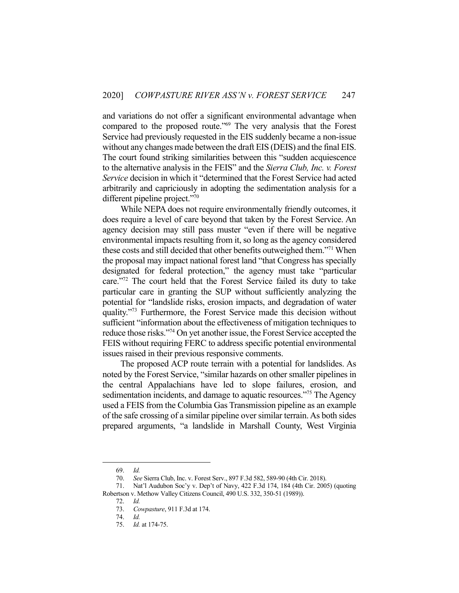and variations do not offer a significant environmental advantage when compared to the proposed route."69 The very analysis that the Forest Service had previously requested in the EIS suddenly became a non-issue without any changes made between the draft EIS (DEIS) and the final EIS. The court found striking similarities between this "sudden acquiescence to the alternative analysis in the FEIS" and the *Sierra Club, Inc. v. Forest Service* decision in which it "determined that the Forest Service had acted arbitrarily and capriciously in adopting the sedimentation analysis for a different pipeline project."<sup>70</sup>

 While NEPA does not require environmentally friendly outcomes, it does require a level of care beyond that taken by the Forest Service. An agency decision may still pass muster "even if there will be negative environmental impacts resulting from it, so long as the agency considered these costs and still decided that other benefits outweighed them."71 When the proposal may impact national forest land "that Congress has specially designated for federal protection," the agency must take "particular care."72 The court held that the Forest Service failed its duty to take particular care in granting the SUP without sufficiently analyzing the potential for "landslide risks, erosion impacts, and degradation of water quality."73 Furthermore, the Forest Service made this decision without sufficient "information about the effectiveness of mitigation techniques to reduce those risks."74 On yet another issue, the Forest Service accepted the FEIS without requiring FERC to address specific potential environmental issues raised in their previous responsive comments.

 The proposed ACP route terrain with a potential for landslides. As noted by the Forest Service, "similar hazards on other smaller pipelines in the central Appalachians have led to slope failures, erosion, and sedimentation incidents, and damage to aquatic resources."<sup>75</sup> The Agency used a FEIS from the Columbia Gas Transmission pipeline as an example of the safe crossing of a similar pipeline over similar terrain. As both sides prepared arguments, "a landslide in Marshall County, West Virginia

 <sup>69.</sup> *Id.*

 <sup>70.</sup> *See* Sierra Club, Inc. v. Forest Serv., 897 F.3d 582, 589-90 (4th Cir. 2018).

 <sup>71.</sup> Nat'l Audubon Soc'y v. Dep't of Navy, 422 F.3d 174, 184 (4th Cir. 2005) (quoting Robertson v. Methow Valley Citizens Council, 490 U.S. 332, 350-51 (1989)).

 <sup>72.</sup> *Id.*

 <sup>73.</sup> *Cowpasture*, 911 F.3d at 174.

 <sup>74.</sup> *Id.* 

 <sup>75.</sup> *Id.* at 174-75.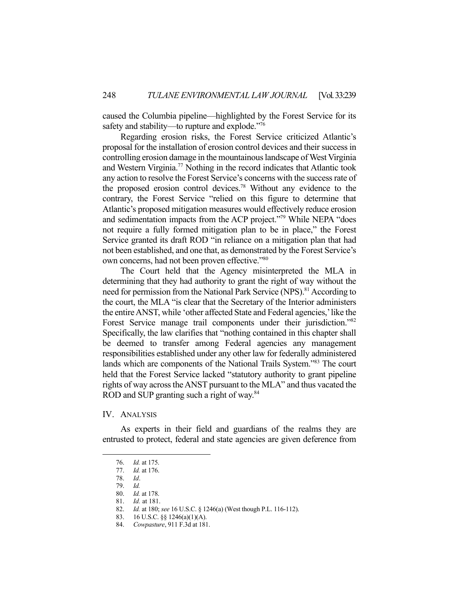caused the Columbia pipeline—highlighted by the Forest Service for its safety and stability—to rupture and explode."76

 Regarding erosion risks, the Forest Service criticized Atlantic's proposal for the installation of erosion control devices and their success in controlling erosion damage in the mountainous landscape of West Virginia and Western Virginia.77 Nothing in the record indicates that Atlantic took any action to resolve the Forest Service's concerns with the success rate of the proposed erosion control devices.78 Without any evidence to the contrary, the Forest Service "relied on this figure to determine that Atlantic's proposed mitigation measures would effectively reduce erosion and sedimentation impacts from the ACP project."79 While NEPA "does not require a fully formed mitigation plan to be in place," the Forest Service granted its draft ROD "in reliance on a mitigation plan that had not been established, and one that, as demonstrated by the Forest Service's own concerns, had not been proven effective."80

 The Court held that the Agency misinterpreted the MLA in determining that they had authority to grant the right of way without the need for permission from the National Park Service (NPS).<sup>81</sup> According to the court, the MLA "is clear that the Secretary of the Interior administers the entire ANST, while 'other affected State and Federal agencies,' like the Forest Service manage trail components under their jurisdiction."<sup>82</sup> Specifically, the law clarifies that "nothing contained in this chapter shall be deemed to transfer among Federal agencies any management responsibilities established under any other law for federally administered lands which are components of the National Trails System."83 The court held that the Forest Service lacked "statutory authority to grant pipeline rights of way across the ANST pursuant to the MLA" and thus vacated the ROD and SUP granting such a right of way.<sup>84</sup>

## IV. ANALYSIS

 As experts in their field and guardians of the realms they are entrusted to protect, federal and state agencies are given deference from

 <sup>76.</sup> *Id.* at 175.

 <sup>77.</sup> *Id.* at 176.

 <sup>78.</sup> *Id*.

 <sup>79.</sup> *Id.*

 <sup>80.</sup> *Id.* at 178.

 <sup>81.</sup> *Id.* at 181.

 <sup>82.</sup> *Id.* at 180; *see* 16 U.S.C. § 1246(a) (West though P.L. 116-112).

 <sup>83. 16</sup> U.S.C. §§ 1246(a)(1)(A).

 <sup>84.</sup> *Cowpasture*, 911 F.3d at 181.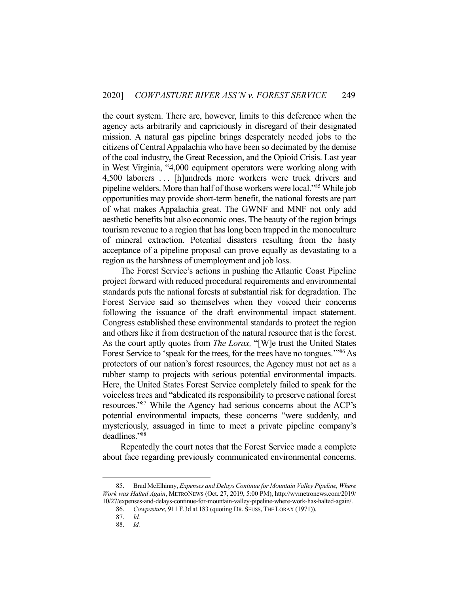the court system. There are, however, limits to this deference when the agency acts arbitrarily and capriciously in disregard of their designated mission. A natural gas pipeline brings desperately needed jobs to the citizens of Central Appalachia who have been so decimated by the demise of the coal industry, the Great Recession, and the Opioid Crisis. Last year in West Virginia, "4,000 equipment operators were working along with 4,500 laborers . . . [h]undreds more workers were truck drivers and pipeline welders. More than half of those workers were local."85 While job opportunities may provide short-term benefit, the national forests are part of what makes Appalachia great. The GWNF and MNF not only add aesthetic benefits but also economic ones. The beauty of the region brings tourism revenue to a region that has long been trapped in the monoculture of mineral extraction. Potential disasters resulting from the hasty acceptance of a pipeline proposal can prove equally as devastating to a region as the harshness of unemployment and job loss.

 The Forest Service's actions in pushing the Atlantic Coast Pipeline project forward with reduced procedural requirements and environmental standards puts the national forests at substantial risk for degradation. The Forest Service said so themselves when they voiced their concerns following the issuance of the draft environmental impact statement. Congress established these environmental standards to protect the region and others like it from destruction of the natural resource that is the forest. As the court aptly quotes from *The Lorax,* "[W]e trust the United States Forest Service to 'speak for the trees, for the trees have no tongues."<sup>86</sup> As protectors of our nation's forest resources, the Agency must not act as a rubber stamp to projects with serious potential environmental impacts. Here, the United States Forest Service completely failed to speak for the voiceless trees and "abdicated its responsibility to preserve national forest resources."87 While the Agency had serious concerns about the ACP's potential environmental impacts, these concerns "were suddenly, and mysteriously, assuaged in time to meet a private pipeline company's deadlines."88

 Repeatedly the court notes that the Forest Service made a complete about face regarding previously communicated environmental concerns.

 <sup>85.</sup> Brad McElhinny, *Expenses and Delays Continue for Mountain Valley Pipeline, Where Work was Halted Again*, METRONEWS (Oct. 27, 2019, 5:00 PM), http://wvmetronews.com/2019/ 10/27/expenses-and-delays-continue-for-mountain-valley-pipeline-where-work-has-halted-again/.

 <sup>86.</sup> *Cowpasture*, 911 F.3d at 183 (quoting DR. SEUSS, THE LORAX (1971)).

 <sup>87.</sup> *Id.*

 <sup>88.</sup> *Id.*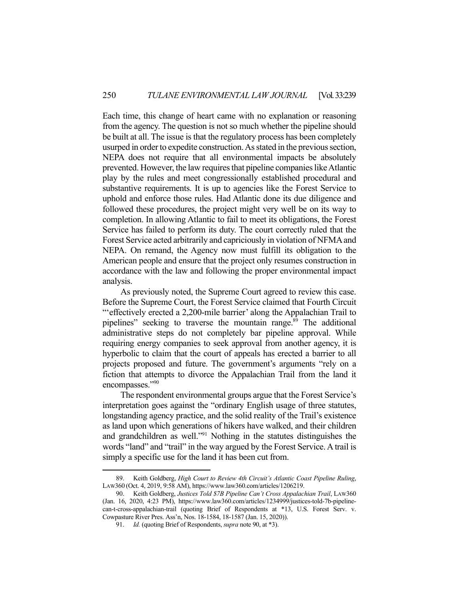Each time, this change of heart came with no explanation or reasoning from the agency. The question is not so much whether the pipeline should be built at all. The issue is that the regulatory process has been completely usurped in order to expedite construction. As stated in the previous section, NEPA does not require that all environmental impacts be absolutely prevented. However, the law requires that pipeline companies like Atlantic play by the rules and meet congressionally established procedural and substantive requirements. It is up to agencies like the Forest Service to uphold and enforce those rules. Had Atlantic done its due diligence and followed these procedures, the project might very well be on its way to completion. In allowing Atlantic to fail to meet its obligations, the Forest Service has failed to perform its duty. The court correctly ruled that the Forest Service acted arbitrarily and capriciously in violation of NFMA and NEPA. On remand, the Agency now must fulfill its obligation to the American people and ensure that the project only resumes construction in accordance with the law and following the proper environmental impact analysis.

 As previously noted, the Supreme Court agreed to review this case. Before the Supreme Court, the Forest Service claimed that Fourth Circuit "'effectively erected a 2,200-mile barrier' along the Appalachian Trail to pipelines" seeking to traverse the mountain range.<sup>89</sup> The additional administrative steps do not completely bar pipeline approval. While requiring energy companies to seek approval from another agency, it is hyperbolic to claim that the court of appeals has erected a barrier to all projects proposed and future. The government's arguments "rely on a fiction that attempts to divorce the Appalachian Trail from the land it encompasses."90

 The respondent environmental groups argue that the Forest Service's interpretation goes against the "ordinary English usage of three statutes, longstanding agency practice, and the solid reality of the Trail's existence as land upon which generations of hikers have walked, and their children and grandchildren as well."91 Nothing in the statutes distinguishes the words "land" and "trail" in the way argued by the Forest Service. A trail is simply a specific use for the land it has been cut from.

 <sup>89.</sup> Keith Goldberg, *High Court to Review 4th Circuit's Atlantic Coast Pipeline Ruling*, LAW360 (Oct. 4, 2019, 9:58 AM), https://www.law360.com/articles/1206219.

 <sup>90.</sup> Keith Goldberg, *Justices Told \$7B Pipeline Can't Cross Appalachian Trail*, LAW360 (Jan. 16, 2020, 4:23 PM), https://www.law360.com/articles/1234999/justices-told-7b-pipelinecan-t-cross-appalachian-trail (quoting Brief of Respondents at \*13, U.S. Forest Serv. v. Cowpasture River Pres. Ass'n, Nos. 18-1584, 18-1587 (Jan. 15, 2020)).

 <sup>91.</sup> *Id.* (quoting Brief of Respondents, *supra* note 90, at \*3).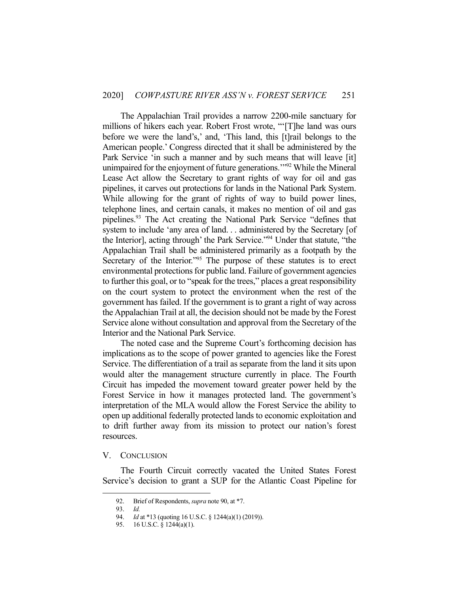The Appalachian Trail provides a narrow 2200-mile sanctuary for millions of hikers each year. Robert Frost wrote, "'[T]he land was ours before we were the land's,' and, 'This land, this [t]rail belongs to the American people.' Congress directed that it shall be administered by the Park Service 'in such a manner and by such means that will leave [it] unimpaired for the enjoyment of future generations."<sup>92</sup> While the Mineral Lease Act allow the Secretary to grant rights of way for oil and gas pipelines, it carves out protections for lands in the National Park System. While allowing for the grant of rights of way to build power lines, telephone lines, and certain canals, it makes no mention of oil and gas pipelines.93 The Act creating the National Park Service "defines that system to include 'any area of land. . . administered by the Secretary [of the Interior], acting through' the Park Service."94 Under that statute, "the Appalachian Trail shall be administered primarily as a footpath by the Secretary of the Interior."<sup>95</sup> The purpose of these statutes is to erect environmental protections for public land. Failure of government agencies to further this goal, or to "speak for the trees," places a great responsibility on the court system to protect the environment when the rest of the government has failed. If the government is to grant a right of way across the Appalachian Trail at all, the decision should not be made by the Forest Service alone without consultation and approval from the Secretary of the Interior and the National Park Service.

 The noted case and the Supreme Court's forthcoming decision has implications as to the scope of power granted to agencies like the Forest Service. The differentiation of a trail as separate from the land it sits upon would alter the management structure currently in place. The Fourth Circuit has impeded the movement toward greater power held by the Forest Service in how it manages protected land. The government's interpretation of the MLA would allow the Forest Service the ability to open up additional federally protected lands to economic exploitation and to drift further away from its mission to protect our nation's forest resources.

### V. CONCLUSION

 The Fourth Circuit correctly vacated the United States Forest Service's decision to grant a SUP for the Atlantic Coast Pipeline for

 <sup>92.</sup> Brief of Respondents, *supra* note 90, at \*7.

 <sup>93.</sup> *Id.* 

 <sup>94.</sup> *Id* at \*13 (quoting 16 U.S.C. § 1244(a)(1) (2019)).

 <sup>95. 16</sup> U.S.C. § 1244(a)(1).